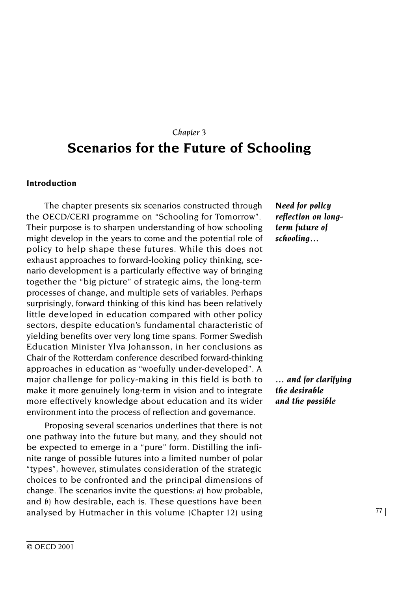# *Chapter 3*

# **Scenarios for the Future of Schooling**

## **Introduction**

The chapter presents six scenarios constructed through the OECD/CERI programme on "Schooling for Tomorrow". Their purpose is to sharpen understanding of how schooling might develop in the years to come and the potential role of policy to help shape these futures. While this does not exhaust approaches to forward-looking policy thinking, scenario development is a particularly effective way of bringing together the "big picture" of strategic aims, the long-term processes of change, and multiple sets of variables. Perhaps surprisingly, forward thinking of this kind has been relatively little developed in education compared with other policy sectors, despite education's fundamental characteristic of yielding benefits over very long time spans. Former Swedish Education Minister Ylva Johansson, in her conclusions as Chair of the Rotterdam conference described forward-thinking approaches in education as "woefully under-developed". A major challenge for policy-making in this field is both to make it more genuinely long-term in vision and to integrate more effectively knowledge about education and its wider environment into the process of reflection and governance.

Proposing several scenarios underlines that there is not one pathway into the future but many, and they should not be expected to emerge in a "pure" form. Distilling the infinite range of possible futures into a limited number of polar "types", however, stimulates consideration of the strategic choices to be confronted and the principal dimensions of change. The scenarios invite the questions: *a)* how probable, and *b)* how desirable, each is. These questions have been analysed by Hutmacher in this volume (Chapter 12) using

*Need for policy reflection on longterm future of schooling…*

*… and for clarifying the desirable and the possible*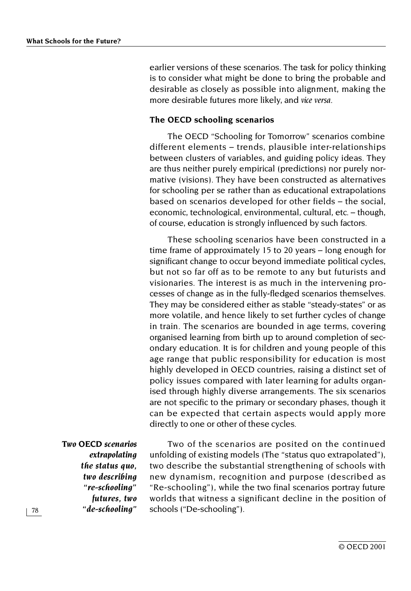earlier versions of these scenarios. The task for policy thinking is to consider what might be done to bring the probable and desirable as closely as possible into alignment, making the more desirable futures more likely, and *vice versa*.

#### **The OECD schooling scenarios**

The OECD "Schooling for Tomorrow" scenarios combine different elements – trends, plausible inter-relationships between clusters of variables, and guiding policy ideas. They are thus neither purely empirical (predictions) nor purely normative (visions). They have been constructed as alternatives for schooling per se rather than as educational extrapolations based on scenarios developed for other fields – the social, economic, technological, environmental, cultural, etc. – though, of course, education is strongly influenced by such factors.

These schooling scenarios have been constructed in a time frame of approximately 15 to 20 years – long enough for significant change to occur beyond immediate political cycles, but not so far off as to be remote to any but futurists and visionaries. The interest is as much in the intervening processes of change as in the fully-fledged scenarios themselves. They may be considered either as stable "steady-states" or as more volatile, and hence likely to set further cycles of change in train. The scenarios are bounded in age terms, covering organised learning from birth up to around completion of secondary education. It is for children and young people of this age range that public responsibility for education is most highly developed in OECD countries, raising a distinct set of policy issues compared with later learning for adults organised through highly diverse arrangements. The six scenarios are not specific to the primary or secondary phases, though it can be expected that certain aspects would apply more directly to one or other of these cycles.

*Two OECD scenarios extrapolating the status quo, two describing "re-schooling" futures, two "de-schooling"*

Two of the scenarios are posited on the continued unfolding of existing models (The "status quo extrapolated"), two describe the substantial strengthening of schools with new dynamism, recognition and purpose (described as "Re-schooling"), while the two final scenarios portray future worlds that witness a significant decline in the position of schools ("De-schooling").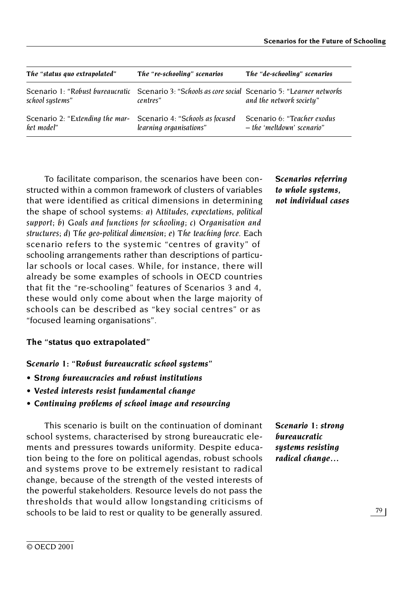| The "status quo extrapolated"                                                    | The "re-schooling" scenarios                                                                                   | The "de-schooling" scenarios                              |
|----------------------------------------------------------------------------------|----------------------------------------------------------------------------------------------------------------|-----------------------------------------------------------|
| school systems"                                                                  | Scenario 1: "Robust bureaucratic Scenario 3: "Schools as core social Scenario 5: "Learner networks<br>centres" | and the network society"                                  |
| Scenario 2: "Extending the mar-<br>Scenario 4: "Schools as focused<br>ket model" | learning organisations"                                                                                        | Scenario 6: "Teacher exodus<br>- the 'meltdown' scenario" |

To facilitate comparison, the scenarios have been constructed within a common framework of clusters of variables that were identified as critical dimensions in determining the shape of school systems: *a) Attitudes, expectations, political support*; *b) Goals and functions for schooling*; *c) Organisation and structures*; *d) The geo-political dimension*; *e) The teaching force*. Each scenario refers to the systemic "centres of gravity" of schooling arrangements rather than descriptions of particular schools or local cases. While, for instance, there will already be some examples of schools in OECD countries that fit the "re-schooling" features of Scenarios 3 and 4, these would only come about when the large majority of schools can be described as "key social centres" or as "focused learning organisations".

# **The "status quo extrapolated"**

## *Scenario 1: "Robust bureaucratic school systems"*

- *Strong bureaucracies and robust institutions*
- *Vested interests resist fundamental change*
- *Continuing problems of school image and resourcing*

This scenario is built on the continuation of dominant school systems, characterised by strong bureaucratic elements and pressures towards uniformity. Despite education being to the fore on political agendas, robust schools and systems prove to be extremely resistant to radical change, because of the strength of the vested interests of the powerful stakeholders. Resource levels do not pass the thresholds that would allow longstanding criticisms of schools to be laid to rest or quality to be generally assured.

*Scenario 1: strong bureaucratic systems resisting radical change…*

*Scenarios referring to whole systems, not individual cases*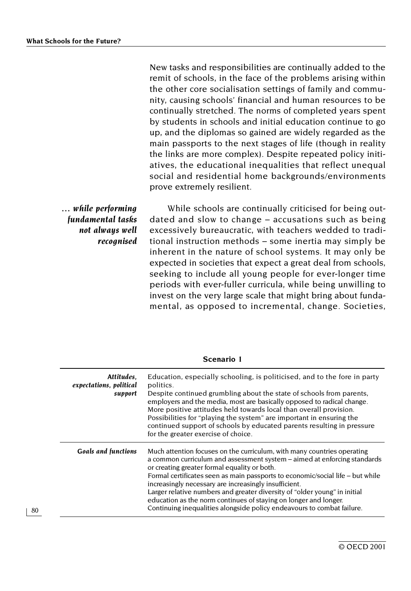New tasks and responsibilities are continually added to the remit of schools, in the face of the problems arising within the other core socialisation settings of family and community, causing schools' financial and human resources to be continually stretched. The norms of completed years spent by students in schools and initial education continue to go up, and the diplomas so gained are widely regarded as the main passports to the next stages of life (though in reality the links are more complex). Despite repeated policy initiatives, the educational inequalities that reflect unequal social and residential home backgrounds/environments prove extremely resilient.

*… while performing fundamental tasks not always well recognised*

While schools are continually criticised for being outdated and slow to change – accusations such as being excessively bureaucratic, with teachers wedded to traditional instruction methods – some inertia may simply be inherent in the nature of school systems. It may only be expected in societies that expect a great deal from schools, seeking to include all young people for ever-longer time periods with ever-fuller curricula, while being unwilling to invest on the very large scale that might bring about fundamental, as opposed to incremental, change. Societies,

| Attitudes.<br>expectations, political<br>support | Education, especially schooling, is politicised, and to the fore in party<br>politics.<br>Despite continued grumbling about the state of schools from parents,<br>employers and the media, most are basically opposed to radical change.<br>More positive attitudes held towards local than overall provision.<br>Possibilities for "playing the system" are important in ensuring the<br>continued support of schools by educated parents resulting in pressure<br>for the greater exercise of choice.                                                                   |
|--------------------------------------------------|---------------------------------------------------------------------------------------------------------------------------------------------------------------------------------------------------------------------------------------------------------------------------------------------------------------------------------------------------------------------------------------------------------------------------------------------------------------------------------------------------------------------------------------------------------------------------|
| <b>Goals and functions</b>                       | Much attention focuses on the curriculum, with many countries operating<br>a common curriculum and assessment system – aimed at enforcing standards<br>or creating greater formal equality or both.<br>Formal certificates seen as main passports to economic/social life – but while<br>increasingly necessary are increasingly insufficient.<br>Larger relative numbers and greater diversity of "older young" in initial<br>education as the norm continues of staying on longer and longer.<br>Continuing inequalities alongside policy endeavours to combat failure. |

**Scenario 1**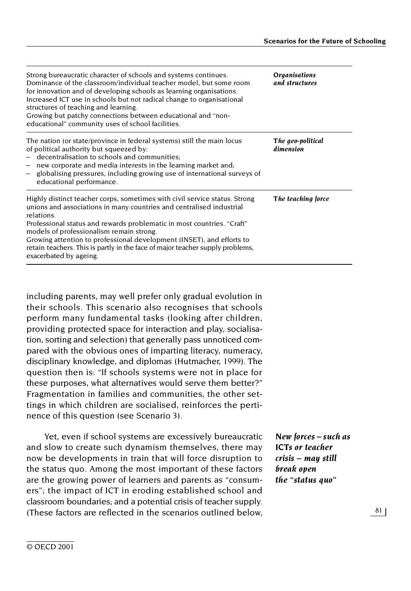| Strong bureaucratic character of schools and systems continues.<br>Dominance of the classroom/individual teacher model, but some room<br>for innovation and of developing schools as learning organisations.<br>Increased ICT use in schools but not radical change to organisational<br>structures of teaching and learning.<br>Growing but patchy connections between educational and "non-<br>educational" community uses of school facilities.                         | Organisations<br>and structures |
|----------------------------------------------------------------------------------------------------------------------------------------------------------------------------------------------------------------------------------------------------------------------------------------------------------------------------------------------------------------------------------------------------------------------------------------------------------------------------|---------------------------------|
| The nation (or state/province in federal systems) still the main locus<br>of political authority but squeezed by:<br>decentralisation to schools and communities.<br>new corporate and media interests in the learning market and;<br>$\qquad \qquad -$<br>globalising pressures, including growing use of international surveys of<br>$\qquad \qquad -$<br>educational performance.                                                                                       | The geo-political<br>dimension  |
| Highly distinct teacher corps, sometimes with civil service status. Strong<br>unions and associations in many countries and centralised industrial<br>relations.<br>Professional status and rewards problematic in most countries. "Craft"<br>models of professionalism remain strong.<br>Growing attention to professional development (INSET), and efforts to<br>retain teachers. This is partly in the face of major teacher supply problems,<br>exacerbated by ageing. | The teaching force              |

including parents, may well prefer only gradual evolution in their schools. This scenario also recognises that schools perform many fundamental tasks (looking after children, providing protected space for interaction and play, socialisation, sorting and selection) that generally pass unnoticed compared with the obvious ones of imparting literacy, numeracy, disciplinary knowledge, and diplomas (Hutmacher, 1999). The question then is: "If schools systems were not in place for these purposes, what alternatives would serve them better?" Fragmentation in families and communities, the other settings in which children are socialised, reinforces the pertinence of this question (see Scenario 3).

Yet, even if school systems are excessively bureaucratic and slow to create such dynamism themselves, there may now be developments in train that will force disruption to the status quo. Among the most important of these factors are the growing power of learners and parents as "consumers"; the impact of ICT in eroding established school and classroom boundaries; and a potential crisis of teacher supply. (These factors are reflected in the scenarios outlined below,

*New forces – such as ICTs or teacher crisis – may still break open the "status quo"*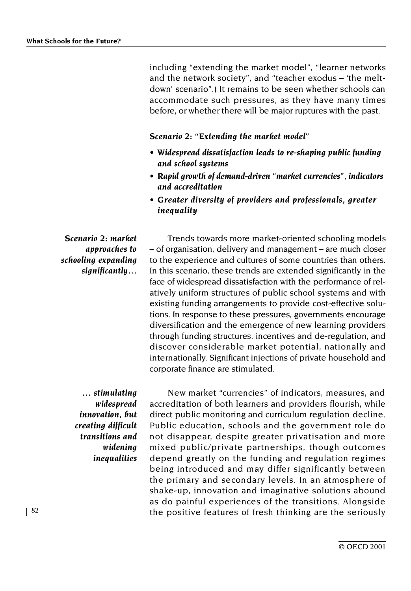including "extending the market model", "learner networks and the network society", and "teacher exodus – 'the meltdown' scenario".) It remains to be seen whether schools can accommodate such pressures, as they have many times before, or whether there will be major ruptures with the past.

### *Scenario 2: "Extending the market model"*

- *Widespread dissatisfaction leads to re-shaping public funding and school systems*
- *Rapid growth of demand-driven* **"***market currencies***"***, indicators and accreditation*
- *Greater diversity of providers and professionals, greater inequality*

*Scenario 2: market approaches to schooling expanding significantly…*

Trends towards more market-oriented schooling models – of organisation, delivery and management – are much closer to the experience and cultures of some countries than others. In this scenario, these trends are extended significantly in the face of widespread dissatisfaction with the performance of relatively uniform structures of public school systems and with existing funding arrangements to provide cost-effective solutions. In response to these pressures, governments encourage diversification and the emergence of new learning providers through funding structures, incentives and de-regulation, and discover considerable market potential, nationally and internationally. Significant injections of private household and corporate finance are stimulated.

*… stimulating widespread innovation, but creating difficult transitions and widening inequalities*

New market "currencies" of indicators, measures, and accreditation of both learners and providers flourish, while direct public monitoring and curriculum regulation decline. Public education, schools and the government role do not disappear, despite greater privatisation and more mixed public/private partnerships, though outcomes depend greatly on the funding and regulation regimes being introduced and may differ significantly between the primary and secondary levels. In an atmosphere of shake-up, innovation and imaginative solutions abound as do painful experiences of the transitions. Alongside the positive features of fresh thinking are the seriously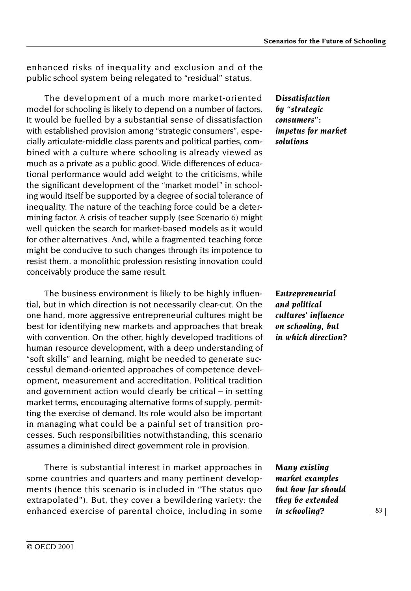enhanced risks of inequality and exclusion and of the public school system being relegated to "residual" status.

The development of a much more market-oriented model for schooling is likely to depend on a number of factors. It would be fuelled by a substantial sense of dissatisfaction with established provision among "strategic consumers", especially articulate-middle class parents and political parties, combined with a culture where schooling is already viewed as much as a private as a public good. Wide differences of educational performance would add weight to the criticisms, while the significant development of the "market model" in schooling would itself be supported by a degree of social tolerance of inequality. The nature of the teaching force could be a determining factor. A crisis of teacher supply (see Scenario 6) might well quicken the search for market-based models as it would for other alternatives. And, while a fragmented teaching force might be conducive to such changes through its impotence to resist them, a monolithic profession resisting innovation could conceivably produce the same result.

The business environment is likely to be highly influential, but in which direction is not necessarily clear-cut. On the one hand, more aggressive entrepreneurial cultures might be best for identifying new markets and approaches that break with convention. On the other, highly developed traditions of human resource development, with a deep understanding of "soft skills" and learning, might be needed to generate successful demand-oriented approaches of competence development, measurement and accreditation. Political tradition and government action would clearly be critical – in setting market terms, encouraging alternative forms of supply, permitting the exercise of demand. Its role would also be important in managing what could be a painful set of transition processes. Such responsibilities notwithstanding, this scenario assumes a diminished direct government role in provision.

There is substantial interest in market approaches in some countries and quarters and many pertinent developments (hence this scenario is included in "The status quo extrapolated"). But, they cover a bewildering variety: the enhanced exercise of parental choice, including in some *Dissatisfaction by "strategic consumers": impetus for market solutions*

*Entrepreneurial and political cultures' influence on schooling, but in which direction?*

*Many existing market examples but how far should they be extended in schooling?*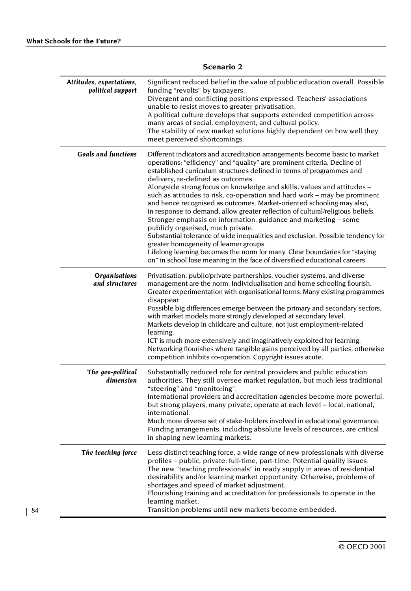| Attitudes, expectations,<br>political support | Significant reduced belief in the value of public education overall. Possible<br>funding "revolts" by taxpayers.<br>Divergent and conflicting positions expressed. Teachers' associations<br>unable to resist moves to greater privatisation.<br>A political culture develops that supports extended competition across<br>many areas of social, employment, and cultural policy.<br>The stability of new market solutions highly dependent on how well they<br>meet perceived shortcomings.                                                                                                                                                                                                                                                                                                                                                                                                                                                                                           |
|-----------------------------------------------|----------------------------------------------------------------------------------------------------------------------------------------------------------------------------------------------------------------------------------------------------------------------------------------------------------------------------------------------------------------------------------------------------------------------------------------------------------------------------------------------------------------------------------------------------------------------------------------------------------------------------------------------------------------------------------------------------------------------------------------------------------------------------------------------------------------------------------------------------------------------------------------------------------------------------------------------------------------------------------------|
| Goals and functions                           | Different indicators and accreditation arrangements become basic to market<br>operations; "efficiency" and "quality" are prominent criteria. Decline of<br>established curriculum structures defined in terms of programmes and<br>delivery, re-defined as outcomes.<br>Alongside strong focus on knowledge and skills, values and attitudes -<br>such as attitudes to risk, co-operation and hard work – may be prominent<br>and hence recognised as outcomes. Market-oriented schooling may also,<br>in response to demand, allow greater reflection of cultural/religious beliefs.<br>Stronger emphasis on information, guidance and marketing – some<br>publicly organised, much private.<br>Substantial tolerance of wide inequalities and exclusion. Possible tendency for<br>greater homogeneity of learner groups.<br>Lifelong learning becomes the norm for many. Clear boundaries for "staying<br>on" in school lose meaning in the face of diversified educational careers. |
| Organisations<br>and structures               | Privatisation, public/private partnerships, voucher systems, and diverse<br>management are the norm. Individualisation and home schooling flourish.<br>Greater experimentation with organisational forms. Many existing programmes<br>disappear.<br>Possible big differences emerge between the primary and secondary sectors,<br>with market models more strongly developed at secondary level.<br>Markets develop in childcare and culture, not just employment-related<br>learning.<br>ICT is much more extensively and imaginatively exploited for learning.<br>Networking flourishes where tangible gains perceived by all parties; otherwise<br>competition inhibits co-operation. Copyright issues acute.                                                                                                                                                                                                                                                                       |
| The geo-political<br>dimension                | Substantially reduced role for central providers and public education<br>authorities. They still oversee market regulation, but much less traditional<br>"steering" and "monitoring".<br>International providers and accreditation agencies become more powerful,<br>but strong players, many private, operate at each level – local, national,<br>international.<br>Much more diverse set of stake-holders involved in educational governance.<br>Funding arrangements, including absolute levels of resources, are critical<br>in shaping new learning markets.                                                                                                                                                                                                                                                                                                                                                                                                                      |
| The teaching force                            | Less distinct teaching force, a wide range of new professionals with diverse<br>profiles - public, private; full-time, part-time. Potential quality issues.<br>The new "teaching professionals" in ready supply in areas of residential<br>desirability and/or learning market opportunity. Otherwise, problems of<br>shortages and speed of market adjustment.<br>Flourishing training and accreditation for professionals to operate in the<br>learning market.<br>Transition problems until new markets become embedded.                                                                                                                                                                                                                                                                                                                                                                                                                                                            |

#### **Scenario 2**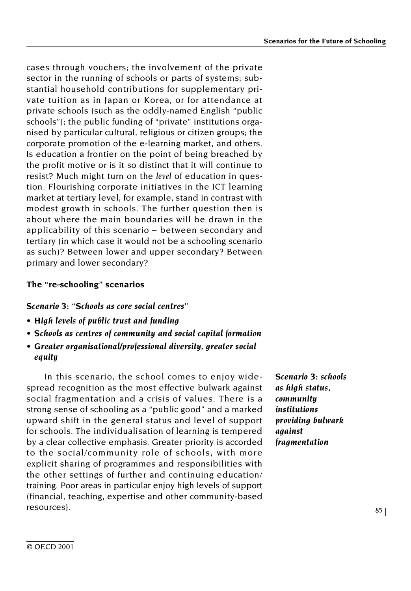cases through vouchers; the involvement of the private sector in the running of schools or parts of systems; substantial household contributions for supplementary private tuition as in Japan or Korea, or for attendance at private schools (such as the oddly-named English "public schools"); the public funding of "private" institutions organised by particular cultural, religious or citizen groups; the corporate promotion of the e-learning market, and others. Is education a frontier on the point of being breached by the profit motive or is it so distinct that it will continue to resist? Much might turn on the *level* of education in question. Flourishing corporate initiatives in the ICT learning market at tertiary level, for example, stand in contrast with modest growth in schools. The further question then is about where the main boundaries will be drawn in the applicability of this scenario – between secondary and tertiary (in which case it would not be a schooling scenario as such)? Between lower and upper secondary? Between primary and lower secondary?

# **The "re-schooling" scenarios**

## *Scenario 3: "Schools as core social centres"*

- *High levels of public trust and funding*
- *Schools as centres of community and social capital formation*
- *Greater organisational/professional diversity, greater social equity*

In this scenario, the school comes to enjoy widespread recognition as the most effective bulwark against social fragmentation and a crisis of values. There is a strong sense of schooling as a "public good" and a marked upward shift in the general status and level of support for schools. The individualisation of learning is tempered by a clear collective emphasis. Greater priority is accorded to the social/community role of schools, with more explicit sharing of programmes and responsibilities with the other settings of further and continuing education/ training. Poor areas in particular enjoy high levels of support (financial, teaching, expertise and other community-based resources).

*Scenario 3: schools as high status, community institutions providing bulwark against fragmentation*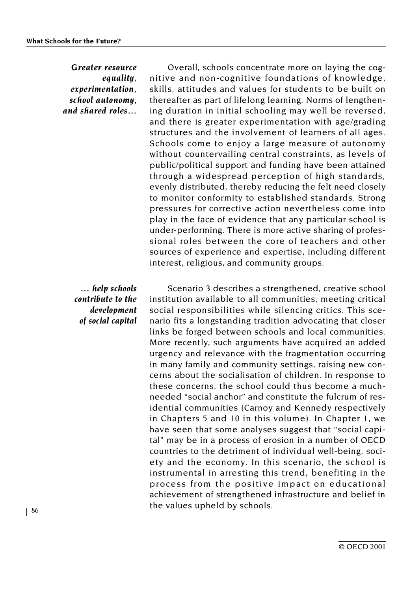*Greater resource equality, experimentation, school autonomy, and shared roles…*

> *… help schools contribute to the development of social capital*

Overall, schools concentrate more on laying the cognitive and non-cognitive foundations of knowledge, skills, attitudes and values for students to be built on thereafter as part of lifelong learning. Norms of lengthening duration in initial schooling may well be reversed, and there is greater experimentation with age/grading structures and the involvement of learners of all ages. Schools come to enjoy a large measure of autonomy without countervailing central constraints, as levels of public/political support and funding have been attained through a widespread perception of high standards, evenly distributed, thereby reducing the felt need closely to monitor conformity to established standards. Strong pressures for corrective action nevertheless come into play in the face of evidence that any particular school is under-performing. There is more active sharing of professional roles between the core of teachers and other sources of experience and expertise, including different interest, religious, and community groups.

Scenario 3 describes a strengthened, creative school institution available to all communities, meeting critical social responsibilities while silencing critics. This scenario fits a longstanding tradition advocating that closer links be forged between schools and local communities. More recently, such arguments have acquired an added urgency and relevance with the fragmentation occurring in many family and community settings, raising new concerns about the socialisation of children. In response to these concerns, the school could thus become a muchneeded "social anchor" and constitute the fulcrum of residential communities (Carnoy and Kennedy respectively in Chapters 5 and 10 in this volume). In Chapter 1, we have seen that some analyses suggest that "social capital" may be in a process of erosion in a number of OECD countries to the detriment of individual well-being, society and the economy. In this scenario, the school is instrumental in arresting this trend, benefiting in the process from the positive impact on educational achievement of strengthened infrastructure and belief in the values upheld by schools.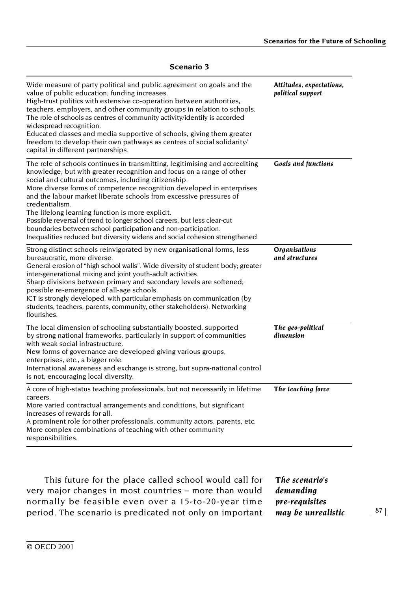| Scenario 3                                                                                                                                                                                                                                                                                                                                                                                                                                                                                                                                                                                                                                                    |                                               |
|---------------------------------------------------------------------------------------------------------------------------------------------------------------------------------------------------------------------------------------------------------------------------------------------------------------------------------------------------------------------------------------------------------------------------------------------------------------------------------------------------------------------------------------------------------------------------------------------------------------------------------------------------------------|-----------------------------------------------|
| Wide measure of party political and public agreement on goals and the<br>value of public education; funding increases.<br>High-trust politics with extensive co-operation between authorities,<br>teachers, employers, and other community groups in relation to schools.<br>The role of schools as centres of community activity/identify is accorded<br>widespread recognition.<br>Educated classes and media supportive of schools, giving them greater<br>freedom to develop their own pathways as centres of social solidarity/<br>capital in different partnerships.                                                                                    | Attitudes, expectations,<br>political support |
| The role of schools continues in transmitting, legitimising and accrediting<br>knowledge, but with greater recognition and focus on a range of other<br>social and cultural outcomes, including citizenship.<br>More diverse forms of competence recognition developed in enterprises<br>and the labour market liberate schools from excessive pressures of<br>credentialism.<br>The lifelong learning function is more explicit.<br>Possible reversal of trend to longer school careers, but less clear-cut<br>boundaries between school participation and non-participation.<br>Inequalities reduced but diversity widens and social cohesion strengthened. | <b>Goals and functions</b>                    |
| Strong distinct schools reinvigorated by new organisational forms, less<br>bureaucratic, more diverse.<br>General erosion of "high school walls". Wide diversity of student body; greater<br>inter-generational mixing and joint youth-adult activities.<br>Sharp divisions between primary and secondary levels are softened;<br>possible re-emergence of all-age schools.<br>ICT is strongly developed, with particular emphasis on communication (by<br>students, teachers, parents, community, other stakeholders). Networking<br>flourishes.                                                                                                             | <b>Organisations</b><br>and structures        |
| The local dimension of schooling substantially boosted, supported<br>by strong national frameworks, particularly in support of communities<br>with weak social infrastructure.<br>New forms of governance are developed giving various groups,<br>enterprises, etc., a bigger role.<br>International awareness and exchange is strong, but supra-national control<br>is not, encouraging local diversity.                                                                                                                                                                                                                                                     | The geo-political<br>dimension                |
| A core of high-status teaching professionals, but not necessarily in lifetime<br>careers.<br>More varied contractual arrangements and conditions, but significant<br>increases of rewards for all.<br>A prominent role for other professionals, community actors, parents, etc.<br>More complex combinations of teaching with other community<br>responsibilities.                                                                                                                                                                                                                                                                                            | The teaching force                            |

This future for the place called school would call for very major changes in most countries – more than would normally be feasible even over a 15-to-20-year time period. The scenario is predicated not only on important *The scenario's demanding pre-requisites may be unrealistic*

87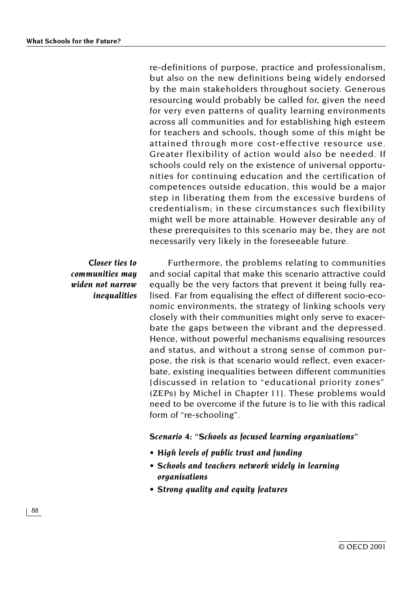re-definitions of purpose, practice and professionalism, but also on the new definitions being widely endorsed by the main stakeholders throughout society. Generous resourcing would probably be called for, given the need for very even patterns of quality learning environments across all communities and for establishing high esteem for teachers and schools, though some of this might be attained through more cost-effective resource use. Greater flexibility of action would also be needed. If schools could rely on the existence of universal opportunities for continuing education and the certification of competences outside education, this would be a major step in liberating them from the excessive burdens of credentialism; in these circumstances such flexibility might well be more attainable. However desirable any of these prerequisites to this scenario may be, they are not necessarily very likely in the foreseeable future.

# *Closer ties to communities may widen not narrow inequalities*

Furthermore, the problems relating to communities and social capital that make this scenario attractive could equally be the very factors that prevent it being fully realised. Far from equalising the effect of different socio-economic environments, the strategy of linking schools very closely with their communities might only serve to exacerbate the gaps between the vibrant and the depressed. Hence, without powerful mechanisms equalising resources and status, and without a strong sense of common purpose, the risk is that scenario would reflect, even exacerbate, existing inequalities between different communities [discussed in relation to "educational priority zones" (ZEPs) by Michel in Chapter 11]. These problems would need to be overcome if the future is to lie with this radical form of "re-schooling".

#### *Scenario 4: "Schools as focused learning organisations"*

- *High levels of public trust and funding*
- *Schools and teachers network widely in learning organisations*
- *Strong quality and equity features*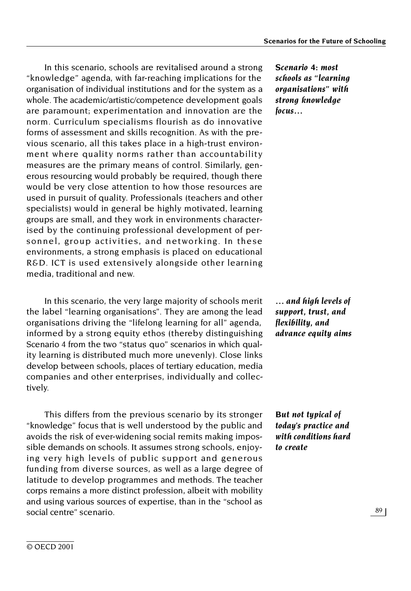In this scenario, schools are revitalised around a strong "knowledge" agenda, with far-reaching implications for the organisation of individual institutions and for the system as a whole. The academic/artistic/competence development goals are paramount; experimentation and innovation are the norm. Curriculum specialisms flourish as do innovative forms of assessment and skills recognition. As with the previous scenario, all this takes place in a high-trust environment where quality norms rather than accountability measures are the primary means of control. Similarly, generous resourcing would probably be required, though there would be very close attention to how those resources are used in pursuit of quality. Professionals (teachers and other specialists) would in general be highly motivated, learning groups are small, and they work in environments characterised by the continuing professional development of personnel, group activities, and networking. In these environments, a strong emphasis is placed on educational R&D. ICT is used extensively alongside other learning media, traditional and new.

In this scenario, the very large majority of schools merit the label "learning organisations". They are among the lead organisations driving the "lifelong learning for all" agenda, informed by a strong equity ethos (thereby distinguishing Scenario 4 from the two "status quo" scenarios in which quality learning is distributed much more unevenly). Close links develop between schools, places of tertiary education, media companies and other enterprises, individually and collectively.

This differs from the previous scenario by its stronger "knowledge" focus that is well understood by the public and avoids the risk of ever-widening social remits making impossible demands on schools. It assumes strong schools, enjoying very high levels of public support and generous funding from diverse sources, as well as a large degree of latitude to develop programmes and methods. The teacher corps remains a more distinct profession, albeit with mobility and using various sources of expertise, than in the "school as social centre" scenario.

*Scenario 4: most schools as "learning organisations" with strong knowledge focus…*

*… and high levels of support, trust, and flexibility, and advance equity aims*

*But not typical of today's practice and with conditions hard to create*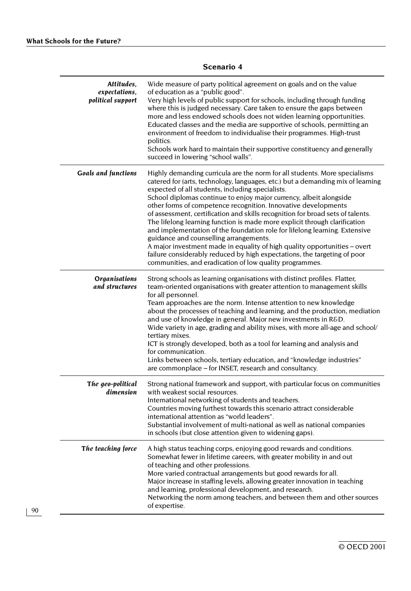| Attitudes,<br>expectations,<br>political support | Wide measure of party political agreement on goals and on the value<br>of education as a "public good".<br>Very high levels of public support for schools, including through funding<br>where this is judged necessary. Care taken to ensure the gaps between<br>more and less endowed schools does not widen learning opportunities.<br>Educated classes and the media are supportive of schools, permitting an<br>environment of freedom to individualise their programmes. High-trust<br>politics.<br>Schools work hard to maintain their supportive constituency and generally<br>succeed in lowering "school walls".                                                                                                                                                                                                                                             |
|--------------------------------------------------|-----------------------------------------------------------------------------------------------------------------------------------------------------------------------------------------------------------------------------------------------------------------------------------------------------------------------------------------------------------------------------------------------------------------------------------------------------------------------------------------------------------------------------------------------------------------------------------------------------------------------------------------------------------------------------------------------------------------------------------------------------------------------------------------------------------------------------------------------------------------------|
| Goals and functions                              | Highly demanding curricula are the norm for all students. More specialisms<br>catered for (arts, technology, languages, etc.) but a demanding mix of learning<br>expected of all students, including specialists.<br>School diplomas continue to enjoy major currency, albeit alongside<br>other forms of competence recognition. Innovative developments<br>of assessment, certification and skills recognition for broad sets of talents.<br>The lifelong learning function is made more explicit through clarification<br>and implementation of the foundation role for lifelong learning. Extensive<br>guidance and counselling arrangements.<br>A major investment made in equality of high quality opportunities – overt<br>failure considerably reduced by high expectations, the targeting of poor<br>communities, and eradication of low quality programmes. |
| Organisations<br>and structures                  | Strong schools as learning organisations with distinct profiles. Flatter,<br>team-oriented organisations with greater attention to management skills<br>for all personnel.<br>Team approaches are the norm. Intense attention to new knowledge<br>about the processes of teaching and learning, and the production, mediation<br>and use of knowledge in general. Major new investments in R&D.<br>Wide variety in age, grading and ability mixes, with more all-age and school/<br>tertiary mixes.<br>ICT is strongly developed, both as a tool for learning and analysis and<br>for communication.<br>Links between schools, tertiary education, and "knowledge industries"<br>are commonplace – for INSET, research and consultancy.                                                                                                                               |
| The geo-political<br>dimension                   | Strong national framework and support, with particular focus on communities<br>with weakest social resources.<br>International networking of students and teachers.<br>Countries moving furthest towards this scenario attract considerable<br>international attention as "world leaders".<br>Substantial involvement of multi-national as well as national companies<br>in schools (but close attention given to widening gaps).                                                                                                                                                                                                                                                                                                                                                                                                                                     |
| The teaching force                               | A high status teaching corps, enjoying good rewards and conditions.<br>Somewhat fewer in lifetime careers, with greater mobility in and out<br>of teaching and other professions.<br>More varied contractual arrangements but good rewards for all.<br>Major increase in staffing levels, allowing greater innovation in teaching<br>and learning, professional development, and research.<br>Networking the norm among teachers, and between them and other sources<br>of expertise.                                                                                                                                                                                                                                                                                                                                                                                 |

## **Scenario 4**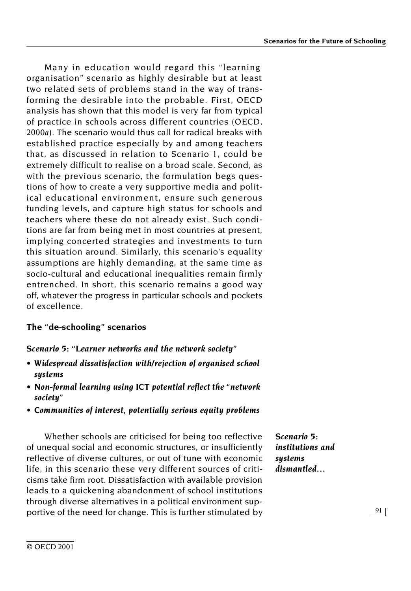Many in education would regard this "learning organisation" scenario as highly desirable but at least two related sets of problems stand in the way of transforming the desirable into the probable. First, OECD analysis has shown that this model is very far from typical of practice in schools across different countries (OECD, 2000*a*). The scenario would thus call for radical breaks with established practice especially by and among teachers that, as discussed in relation to Scenario 1, could be extremely difficult to realise on a broad scale. Second, as with the previous scenario, the formulation begs questions of how to create a very supportive media and political educational environment, ensure such generous funding levels, and capture high status for schools and teachers where these do not already exist. Such conditions are far from being met in most countries at present, implying concerted strategies and investments to turn this situation around. Similarly, this scenario's equality assumptions are highly demanding, at the same time as socio-cultural and educational inequalities remain firmly entrenched. In short, this scenario remains a good way off, whatever the progress in particular schools and pockets of excellence.

# **The "de-schooling" scenarios**

## *Scenario 5: "Learner networks and the network society"*

- *Widespread dissatisfaction with/rejection of organised school systems*
- *Non-formal learning using ICT potential reflect the "network society"*
- *Communities of interest, potentially serious equity problems*

Whether schools are criticised for being too reflective of unequal social and economic structures, or insufficiently reflective of diverse cultures, or out of tune with economic life, in this scenario these very different sources of criticisms take firm root. Dissatisfaction with available provision leads to a quickening abandonment of school institutions through diverse alternatives in a political environment supportive of the need for change. This is further stimulated by

*Scenario 5: institutions and systems dismantled…*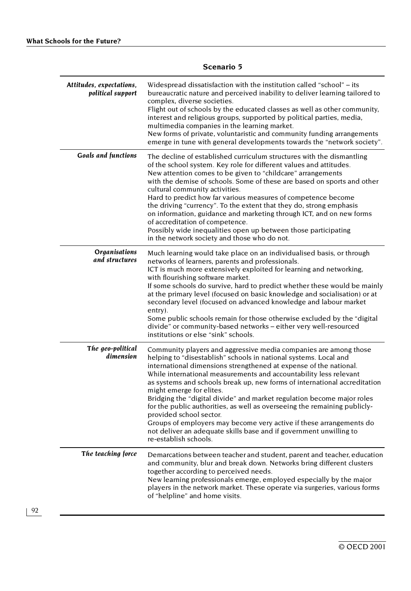| Attitudes, expectations,<br>political support | Widespread dissatisfaction with the institution called "school" – its<br>bureaucratic nature and perceived inability to deliver learning tailored to<br>complex, diverse societies.<br>Flight out of schools by the educated classes as well as other community,<br>interest and religious groups, supported by political parties, media,<br>multimedia companies in the learning market.<br>New forms of private, voluntaristic and community funding arrangements<br>emerge in tune with general developments towards the "network society".                                                                                                                                                                                                  |
|-----------------------------------------------|-------------------------------------------------------------------------------------------------------------------------------------------------------------------------------------------------------------------------------------------------------------------------------------------------------------------------------------------------------------------------------------------------------------------------------------------------------------------------------------------------------------------------------------------------------------------------------------------------------------------------------------------------------------------------------------------------------------------------------------------------|
| Goals and functions                           | The decline of established curriculum structures with the dismantling<br>of the school system. Key role for different values and attitudes.<br>New attention comes to be given to "childcare" arrangements<br>with the demise of schools. Some of these are based on sports and other<br>cultural community activities.<br>Hard to predict how far various measures of competence become<br>the driving "currency". To the extent that they do, strong emphasis<br>on information, guidance and marketing through ICT, and on new forms<br>of accreditation of competence.<br>Possibly wide inequalities open up between those participating<br>in the network society and those who do not.                                                    |
| <b>Organisations</b><br>and structures        | Much learning would take place on an individualised basis, or through<br>networks of learners, parents and professionals.<br>ICT is much more extensively exploited for learning and networking,<br>with flourishing software market.<br>If some schools do survive, hard to predict whether these would be mainly<br>at the primary level (focused on basic knowledge and socialisation) or at<br>secondary level (focused on advanced knowledge and labour market<br>entry).<br>Some public schools remain for those otherwise excluded by the "digital"<br>divide" or community-based networks – either very well-resourced<br>institutions or else "sink" schools.                                                                          |
| The geo-political<br>dimension                | Community players and aggressive media companies are among those<br>helping to "disestablish" schools in national systems. Local and<br>international dimensions strengthened at expense of the national.<br>While international measurements and accountability less relevant<br>as systems and schools break up, new forms of international accreditation<br>might emerge for elites.<br>Bridging the "digital divide" and market regulation become major roles<br>for the public authorities, as well as overseeing the remaining publicly-<br>provided school sector.<br>Groups of employers may become very active if these arrangements do<br>not deliver an adequate skills base and if government unwilling to<br>re-establish schools. |
| The teaching force                            | Demarcations between teacher and student, parent and teacher, education<br>and community, blur and break down. Networks bring different clusters<br>together according to perceived needs.<br>New learning professionals emerge, employed especially by the major<br>players in the network market. These operate via surgeries, various forms<br>of "helpline" and home visits.                                                                                                                                                                                                                                                                                                                                                                |

#### **Scenario 5**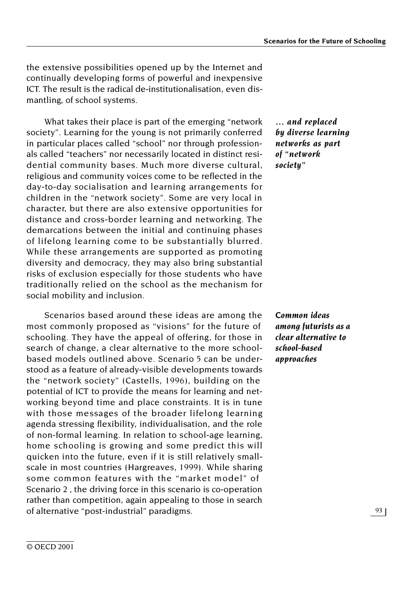the extensive possibilities opened up by the Internet and continually developing forms of powerful and inexpensive ICT. The result is the radical de-institutionalisation, even dismantling, of school systems.

What takes their place is part of the emerging "network society". Learning for the young is not primarily conferred in particular places called "school" nor through professionals called "teachers" nor necessarily located in distinct residential community bases. Much more diverse cultural, religious and community voices come to be reflected in the day-to-day socialisation and learning arrangements for children in the "network society". Some are very local in character, but there are also extensive opportunities for distance and cross-border learning and networking. The demarcations between the initial and continuing phases of lifelong learning come to be substantially blurred. While these arrangements are supported as promoting diversity and democracy, they may also bring substantial risks of exclusion especially for those students who have traditionally relied on the school as the mechanism for social mobility and inclusion.

Scenarios based around these ideas are among the most commonly proposed as "visions" for the future of schooling. They have the appeal of offering, for those in search of change, a clear alternative to the more schoolbased models outlined above. Scenario 5 can be understood as a feature of already-visible developments towards the "network society" (Castells, 1996), building on the potential of ICT to provide the means for learning and networking beyond time and place constraints. It is in tune with those messages of the broader lifelong learning agenda stressing flexibility, individualisation, and the role of non-formal learning. In relation to school-age learning, home schooling is growing and some predict this will quicken into the future, even if it is still relatively smallscale in most countries (Hargreaves, 1999). While sharing some common features with the "market model" of Scenario 2 , the driving force in this scenario is co-operation rather than competition, again appealing to those in search of alternative "post-industrial" paradigms.

*… and replaced by diverse learning networks as part of "network society"*

*Common ideas among futurists as a clear alternative to school-based approaches*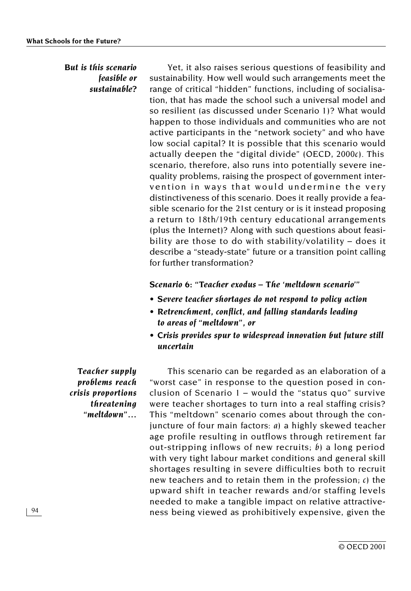### *But is this scenario feasible or sustainable?*

Yet, it also raises serious questions of feasibility and sustainability. How well would such arrangements meet the range of critical "hidden" functions, including of socialisation, that has made the school such a universal model and so resilient (as discussed under Scenario 1)? What would happen to those individuals and communities who are not active participants in the "network society" and who have low social capital? It is possible that this scenario would actually deepen the "digital divide" (OECD, 2000*c*). This scenario, therefore, also runs into potentially severe inequality problems, raising the prospect of government intervention in ways that would undermine the very distinctiveness of this scenario. Does it really provide a feasible scenario for the 21st century or is it instead proposing a return to 18th/19th century educational arrangements (plus the Internet)? Along with such questions about feasibility are those to do with stability/volatility – does it describe a "steady-state" future or a transition point calling for further transformation?

*Scenario 6: "Teacher exodus – The 'meltdown scenario'"*

- *Severe teacher shortages do not respond to policy action*
- *Retrenchment, conflict, and falling standards leading to areas of "meltdown", or*
- *Crisis provides spur to widespread innovation but future still uncertain*

*Teacher supply problems reach crisis proportions threatening "meltdown"…*

This scenario can be regarded as an elaboration of a "worst case" in response to the question posed in conclusion of Scenario 1 – would the "status quo" survive were teacher shortages to turn into a real staffing crisis? This "meltdown" scenario comes about through the conjuncture of four main factors: *a)* a highly skewed teacher age profile resulting in outflows through retirement far out-stripping inflows of new recruits; *b)* a long period with very tight labour market conditions and general skill shortages resulting in severe difficulties both to recruit new teachers and to retain them in the profession; *c)* the upward shift in teacher rewards and/or staffing levels needed to make a tangible impact on relative attractiveness being viewed as prohibitively expensive, given the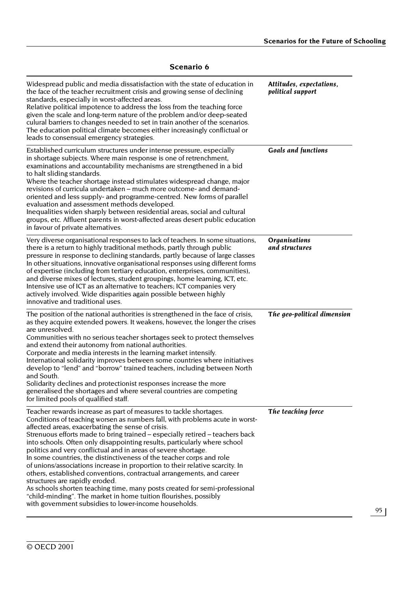| Scenario 6                                                                                                                                                                                                                                                                                                                                                                                                                                                                                                                                                                                                                                                                                                                                                                                                                                                                                                          |                                               |  |
|---------------------------------------------------------------------------------------------------------------------------------------------------------------------------------------------------------------------------------------------------------------------------------------------------------------------------------------------------------------------------------------------------------------------------------------------------------------------------------------------------------------------------------------------------------------------------------------------------------------------------------------------------------------------------------------------------------------------------------------------------------------------------------------------------------------------------------------------------------------------------------------------------------------------|-----------------------------------------------|--|
| Widespread public and media dissatisfaction with the state of education in<br>the face of the teacher recruitment crisis and growing sense of declining<br>standards, especially in worst-affected areas.<br>Relative political impotence to address the loss from the teaching force<br>given the scale and long-term nature of the problem and/or deep-seated<br>culural barriers to changes needed to set in train another of the scenarios.<br>The education political climate becomes either increasingly conflictual or<br>leads to consensual emergency strategies.                                                                                                                                                                                                                                                                                                                                          | Attitudes, expectations,<br>political support |  |
| Established curriculum structures under intense pressure, especially<br>in shortage subjects. Where main response is one of retrenchment,<br>examinations and accountability mechanisms are strengthened in a bid<br>to halt sliding standards.<br>Where the teacher shortage instead stimulates widespread change, major<br>revisions of curricula undertaken – much more outcome- and demand-<br>oriented and less supply- and programme-centred. New forms of parallel<br>evaluation and assessment methods developed.<br>Inequalities widen sharply between residential areas, social and cultural<br>groups, etc. Affluent parents in worst-affected areas desert public education<br>in favour of private alternatives.                                                                                                                                                                                       | Goals and functions                           |  |
| Very diverse organisational responses to lack of teachers. In some situations,<br>there is a return to highly traditional methods, partly through public<br>pressure in response to declining standards, partly because of large classes<br>In other situations, innovative organisational responses using different forms<br>of expertise (including from tertiary education, enterprises, communities),<br>and diverse mixes of lectures, student groupings, home learning, ICT, etc.<br>Intensive use of ICT as an alternative to teachers; ICT companies very<br>actively involved. Wide disparities again possible between highly<br>innovative and traditional uses.                                                                                                                                                                                                                                          | <b>Organisations</b><br>and structures        |  |
| The position of the national authorities is strengthened in the face of crisis,<br>as they acquire extended powers. It weakens, however, the longer the crises<br>are unresolved.<br>Communities with no serious teacher shortages seek to protect themselves<br>and extend their autonomy from national authorities.<br>Corporate and media interests in the learning market intensify.<br>International solidarity improves between some countries where initiatives<br>develop to "lend" and "borrow" trained teachers, including between North<br>and South.<br>Solidarity declines and protectionist responses increase the more<br>generalised the shortages and where several countries are competing<br>for limited pools of qualified staff.                                                                                                                                                               | The geo-political dimension                   |  |
| Teacher rewards increase as part of measures to tackle shortages.<br>Conditions of teaching worsen as numbers fall, with problems acute in worst-<br>affected areas, exacerbating the sense of crisis.<br>Strenuous efforts made to bring trained – especially retired – teachers back<br>into schools. Often only disappointing results, particularly where school<br>politics and very conflictual and in areas of severe shortage.<br>In some countries, the distinctiveness of the teacher corps and role<br>of unions/associations increase in proportion to their relative scarcity. In<br>others, established conventions, contractual arrangements, and career<br>structures are rapidly eroded.<br>As schools shorten teaching time, many posts created for semi-professional<br>"child-minding". The market in home tuition flourishes, possibly<br>with government subsidies to lower-income households. | The teaching force                            |  |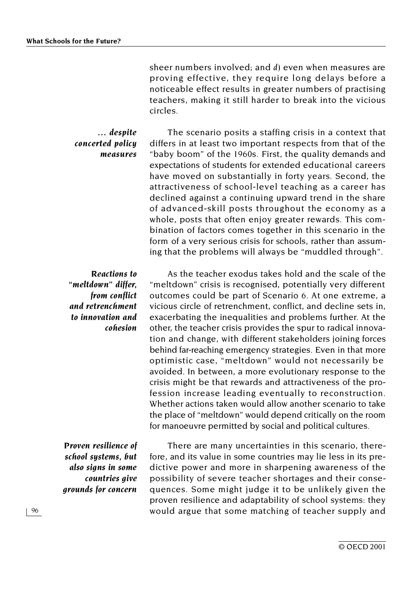sheer numbers involved; and *d)* even when measures are proving effective, they require long delays before a noticeable effect results in greater numbers of practising teachers, making it still harder to break into the vicious circles.

*… despite concerted policy measures*

*Reactions to "meltdown" differ, from conflict and retrenchment to innovation and cohesion*

*Proven resilience of school systems, but also signs in some countries give grounds for concern*

The scenario posits a staffing crisis in a context that differs in at least two important respects from that of the "baby boom" of the 1960s. First, the quality demands and expectations of students for extended educational careers have moved on substantially in forty years. Second, the attractiveness of school-level teaching as a career has declined against a continuing upward trend in the share of advanced-skill posts throughout the economy as a whole, posts that often enjoy greater rewards. This combination of factors comes together in this scenario in the form of a very serious crisis for schools, rather than assuming that the problems will always be "muddled through".

As the teacher exodus takes hold and the scale of the "meltdown" crisis is recognised, potentially very different outcomes could be part of Scenario 6. At one extreme, a vicious circle of retrenchment, conflict, and decline sets in, exacerbating the inequalities and problems further. At the other, the teacher crisis provides the spur to radical innovation and change, with different stakeholders joining forces behind far-reaching emergency strategies. Even in that more optimistic case, "meltdown" would not necessarily be avoided. In between, a more evolutionary response to the crisis might be that rewards and attractiveness of the profession increase leading eventually to reconstruction. Whether actions taken would allow another scenario to take the place of "meltdown" would depend critically on the room for manoeuvre permitted by social and political cultures.

There are many uncertainties in this scenario, therefore, and its value in some countries may lie less in its predictive power and more in sharpening awareness of the possibility of severe teacher shortages and their consequences. Some might judge it to be unlikely given the proven resilience and adaptability of school systems: they would argue that some matching of teacher supply and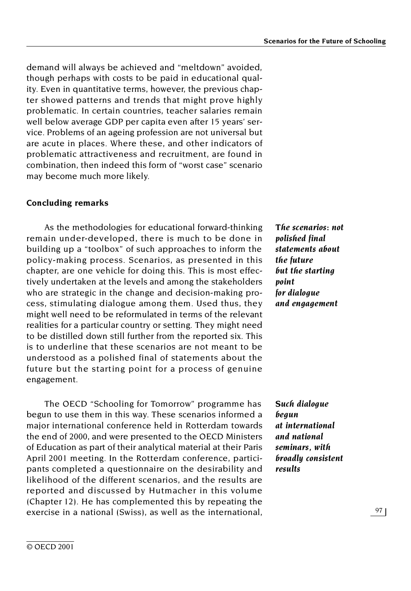demand will always be achieved and "meltdown" avoided, though perhaps with costs to be paid in educational quality. Even in quantitative terms, however, the previous chapter showed patterns and trends that might prove highly problematic. In certain countries, teacher salaries remain well below average GDP per capita even after 15 years' service. Problems of an ageing profession are not universal but are acute in places. Where these, and other indicators of problematic attractiveness and recruitment, are found in combination, then indeed this form of "worst case" scenario may become much more likely.

## **Concluding remarks**

As the methodologies for educational forward-thinking remain under-developed, there is much to be done in building up a "toolbox" of such approaches to inform the policy-making process. Scenarios, as presented in this chapter, are one vehicle for doing this. This is most effectively undertaken at the levels and among the stakeholders who are strategic in the change and decision-making process, stimulating dialogue among them. Used thus, they might well need to be reformulated in terms of the relevant realities for a particular country or setting. They might need to be distilled down still further from the reported six. This is to underline that these scenarios are not meant to be understood as a polished final of statements about the future but the starting point for a process of genuine engagement.

The OECD "Schooling for Tomorrow" programme has begun to use them in this way. These scenarios informed a major international conference held in Rotterdam towards the end of 2000, and were presented to the OECD Ministers of Education as part of their analytical material at their Paris April 2001 meeting. In the Rotterdam conference, participants completed a questionnaire on the desirability and likelihood of the different scenarios, and the results are reported and discussed by Hutmacher in this volume (Chapter 12). He has complemented this by repeating the exercise in a national (Swiss), as well as the international,

*The scenarios: not polished final statements about the future but the starting point for dialogue and engagement*

*Such dialogue begun at international and national seminars, with broadly consistent results*